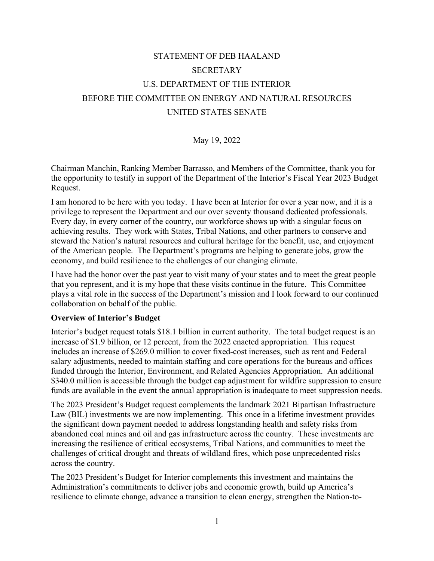# STATEMENT OF DEB HAALAND SECRETARY U.S. DEPARTMENT OF THE INTERIOR BEFORE THE COMMITTEE ON ENERGY AND NATURAL RESOURCES UNITED STATES SENATE

#### May 19, 2022

Chairman Manchin, Ranking Member Barrasso, and Members of the Committee, thank you for the opportunity to testify in support of the Department of the Interior's Fiscal Year 2023 Budget Request.

I am honored to be here with you today. I have been at Interior for over a year now, and it is a privilege to represent the Department and our over seventy thousand dedicated professionals. Every day, in every corner of the country, our workforce shows up with a singular focus on achieving results. They work with States, Tribal Nations, and other partners to conserve and steward the Nation's natural resources and cultural heritage for the benefit, use, and enjoyment of the American people. The Department's programs are helping to generate jobs, grow the economy, and build resilience to the challenges of our changing climate.

I have had the honor over the past year to visit many of your states and to meet the great people that you represent, and it is my hope that these visits continue in the future. This Committee plays a vital role in the success of the Department's mission and I look forward to our continued collaboration on behalf of the public.

#### **Overview of Interior's Budget**

Interior's budget request totals \$18.1 billion in current authority. The total budget request is an increase of \$1.9 billion, or 12 percent, from the 2022 enacted appropriation. This request includes an increase of \$269.0 million to cover fixed-cost increases, such as rent and Federal salary adjustments, needed to maintain staffing and core operations for the bureaus and offices funded through the Interior, Environment, and Related Agencies Appropriation. An additional \$340.0 million is accessible through the budget cap adjustment for wildfire suppression to ensure funds are available in the event the annual appropriation is inadequate to meet suppression needs.

The 2023 President's Budget request complements the landmark 2021 Bipartisan Infrastructure Law (BIL) investments we are now implementing. This once in a lifetime investment provides the significant down payment needed to address longstanding health and safety risks from abandoned coal mines and oil and gas infrastructure across the country. These investments are increasing the resilience of critical ecosystems, Tribal Nations, and communities to meet the challenges of critical drought and threats of wildland fires, which pose unprecedented risks across the country.

The 2023 President's Budget for Interior complements this investment and maintains the Administration's commitments to deliver jobs and economic growth, build up America's resilience to climate change, advance a transition to clean energy, strengthen the Nation-to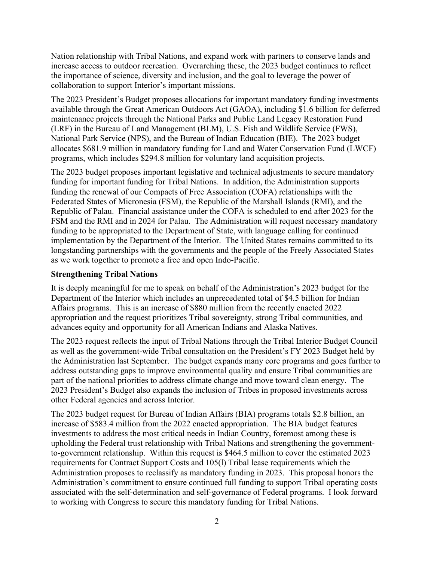Nation relationship with Tribal Nations, and expand work with partners to conserve lands and increase access to outdoor recreation. Overarching these, the 2023 budget continues to reflect the importance of science, diversity and inclusion, and the goal to leverage the power of collaboration to support Interior's important missions.

The 2023 President's Budget proposes allocations for important mandatory funding investments available through the Great American Outdoors Act (GAOA), including \$1.6 billion for deferred maintenance projects through the National Parks and Public Land Legacy Restoration Fund (LRF) in the Bureau of Land Management (BLM), U.S. Fish and Wildlife Service (FWS), National Park Service (NPS), and the Bureau of Indian Education (BIE). The 2023 budget allocates \$681.9 million in mandatory funding for Land and Water Conservation Fund (LWCF) programs, which includes \$294.8 million for voluntary land acquisition projects.

The 2023 budget proposes important legislative and technical adjustments to secure mandatory funding for important funding for Tribal Nations. In addition, the Administration supports funding the renewal of our Compacts of Free Association (COFA) relationships with the Federated States of Micronesia (FSM), the Republic of the Marshall Islands (RMI), and the Republic of Palau. Financial assistance under the COFA is scheduled to end after 2023 for the FSM and the RMI and in 2024 for Palau. The Administration will request necessary mandatory funding to be appropriated to the Department of State, with language calling for continued implementation by the Department of the Interior. The United States remains committed to its longstanding partnerships with the governments and the people of the Freely Associated States as we work together to promote a free and open Indo-Pacific.

# **Strengthening Tribal Nations**

It is deeply meaningful for me to speak on behalf of the Administration's 2023 budget for the Department of the Interior which includes an unprecedented total of \$4.5 billion for Indian Affairs programs. This is an increase of \$880 million from the recently enacted 2022 appropriation and the request prioritizes Tribal sovereignty, strong Tribal communities, and advances equity and opportunity for all American Indians and Alaska Natives.

The 2023 request reflects the input of Tribal Nations through the Tribal Interior Budget Council as well as the government-wide Tribal consultation on the President's FY 2023 Budget held by the Administration last September. The budget expands many core programs and goes further to address outstanding gaps to improve environmental quality and ensure Tribal communities are part of the national priorities to address climate change and move toward clean energy. The 2023 President's Budget also expands the inclusion of Tribes in proposed investments across other Federal agencies and across Interior.

The 2023 budget request for Bureau of Indian Affairs (BIA) programs totals \$2.8 billion, an increase of \$583.4 million from the 2022 enacted appropriation. The BIA budget features investments to address the most critical needs in Indian Country, foremost among these is upholding the Federal trust relationship with Tribal Nations and strengthening the governmentto-government relationship. Within this request is \$464.5 million to cover the estimated 2023 requirements for Contract Support Costs and 105(l) Tribal lease requirements which the Administration proposes to reclassify as mandatory funding in 2023. This proposal honors the Administration's commitment to ensure continued full funding to support Tribal operating costs associated with the self-determination and self-governance of Federal programs. I look forward to working with Congress to secure this mandatory funding for Tribal Nations.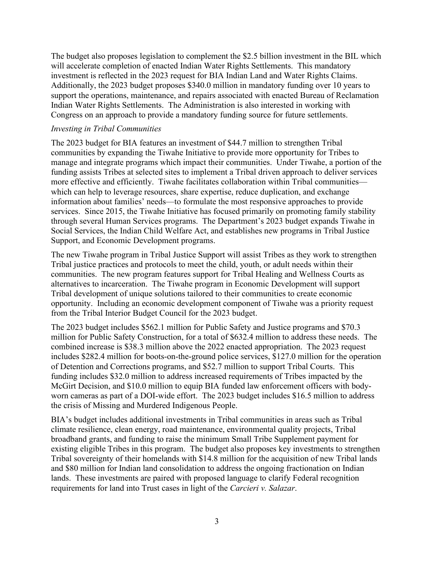The budget also proposes legislation to complement the \$2.5 billion investment in the BIL which will accelerate completion of enacted Indian Water Rights Settlements. This mandatory investment is reflected in the 2023 request for BIA Indian Land and Water Rights Claims. Additionally, the 2023 budget proposes \$340.0 million in mandatory funding over 10 years to support the operations, maintenance, and repairs associated with enacted Bureau of Reclamation Indian Water Rights Settlements. The Administration is also interested in working with Congress on an approach to provide a mandatory funding source for future settlements.

#### *Investing in Tribal Communities*

The 2023 budget for BIA features an investment of \$44.7 million to strengthen Tribal communities by expanding the Tiwahe Initiative to provide more opportunity for Tribes to manage and integrate programs which impact their communities. Under Tiwahe, a portion of the funding assists Tribes at selected sites to implement a Tribal driven approach to deliver services more effective and efficiently. Tiwahe facilitates collaboration within Tribal communities which can help to leverage resources, share expertise, reduce duplication, and exchange information about families' needs—to formulate the most responsive approaches to provide services. Since 2015, the Tiwahe Initiative has focused primarily on promoting family stability through several Human Services programs. The Department's 2023 budget expands Tiwahe in Social Services, the Indian Child Welfare Act, and establishes new programs in Tribal Justice Support, and Economic Development programs.

The new Tiwahe program in Tribal Justice Support will assist Tribes as they work to strengthen Tribal justice practices and protocols to meet the child, youth, or adult needs within their communities. The new program features support for Tribal Healing and Wellness Courts as alternatives to incarceration. The Tiwahe program in Economic Development will support Tribal development of unique solutions tailored to their communities to create economic opportunity. Including an economic development component of Tiwahe was a priority request from the Tribal Interior Budget Council for the 2023 budget.

The 2023 budget includes \$562.1 million for Public Safety and Justice programs and \$70.3 million for Public Safety Construction, for a total of \$632.4 million to address these needs. The combined increase is \$38.3 million above the 2022 enacted appropriation. The 2023 request includes \$282.4 million for boots-on-the-ground police services, \$127.0 million for the operation of Detention and Corrections programs, and \$52.7 million to support Tribal Courts. This funding includes \$32.0 million to address increased requirements of Tribes impacted by the McGirt Decision, and \$10.0 million to equip BIA funded law enforcement officers with bodyworn cameras as part of a DOI-wide effort. The 2023 budget includes \$16.5 million to address the crisis of Missing and Murdered Indigenous People.

BIA's budget includes additional investments in Tribal communities in areas such as Tribal climate resilience, clean energy, road maintenance, environmental quality projects, Tribal broadband grants, and funding to raise the minimum Small Tribe Supplement payment for existing eligible Tribes in this program. The budget also proposes key investments to strengthen Tribal sovereignty of their homelands with \$14.8 million for the acquisition of new Tribal lands and \$80 million for Indian land consolidation to address the ongoing fractionation on Indian lands. These investments are paired with proposed language to clarify Federal recognition requirements for land into Trust cases in light of the *Carcieri v. Salazar*.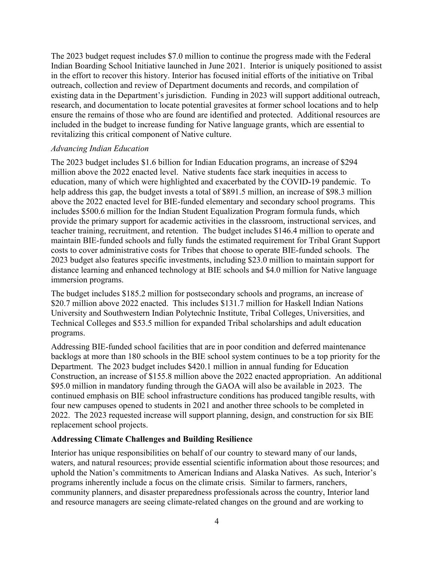The 2023 budget request includes \$7.0 million to continue the progress made with the Federal Indian Boarding School Initiative launched in June 2021. Interior is uniquely positioned to assist in the effort to recover this history. Interior has focused initial efforts of the initiative on Tribal outreach, collection and review of Department documents and records, and compilation of existing data in the Department's jurisdiction. Funding in 2023 will support additional outreach, research, and documentation to locate potential gravesites at former school locations and to help ensure the remains of those who are found are identified and protected. Additional resources are included in the budget to increase funding for Native language grants, which are essential to revitalizing this critical component of Native culture.

#### *Advancing Indian Education*

The 2023 budget includes \$1.6 billion for Indian Education programs, an increase of \$294 million above the 2022 enacted level. Native students face stark inequities in access to education, many of which were highlighted and exacerbated by the COVID-19 pandemic. To help address this gap, the budget invests a total of \$891.5 million, an increase of \$98.3 million above the 2022 enacted level for BIE-funded elementary and secondary school programs. This includes \$500.6 million for the Indian Student Equalization Program formula funds, which provide the primary support for academic activities in the classroom, instructional services, and teacher training, recruitment, and retention. The budget includes \$146.4 million to operate and maintain BIE-funded schools and fully funds the estimated requirement for Tribal Grant Support costs to cover administrative costs for Tribes that choose to operate BIE-funded schools. The 2023 budget also features specific investments, including \$23.0 million to maintain support for distance learning and enhanced technology at BIE schools and \$4.0 million for Native language immersion programs.

The budget includes \$185.2 million for postsecondary schools and programs, an increase of \$20.7 million above 2022 enacted. This includes \$131.7 million for Haskell Indian Nations University and Southwestern Indian Polytechnic Institute, Tribal Colleges, Universities, and Technical Colleges and \$53.5 million for expanded Tribal scholarships and adult education programs.

Addressing BIE-funded school facilities that are in poor condition and deferred maintenance backlogs at more than 180 schools in the BIE school system continues to be a top priority for the Department. The 2023 budget includes \$420.1 million in annual funding for Education Construction, an increase of \$155.8 million above the 2022 enacted appropriation. An additional \$95.0 million in mandatory funding through the GAOA will also be available in 2023. The continued emphasis on BIE school infrastructure conditions has produced tangible results, with four new campuses opened to students in 2021 and another three schools to be completed in 2022. The 2023 requested increase will support planning, design, and construction for six BIE replacement school projects.

# **Addressing Climate Challenges and Building Resilience**

Interior has unique responsibilities on behalf of our country to steward many of our lands, waters, and natural resources; provide essential scientific information about those resources; and uphold the Nation's commitments to American Indians and Alaska Natives. As such, Interior's programs inherently include a focus on the climate crisis. Similar to farmers, ranchers, community planners, and disaster preparedness professionals across the country, Interior land and resource managers are seeing climate-related changes on the ground and are working to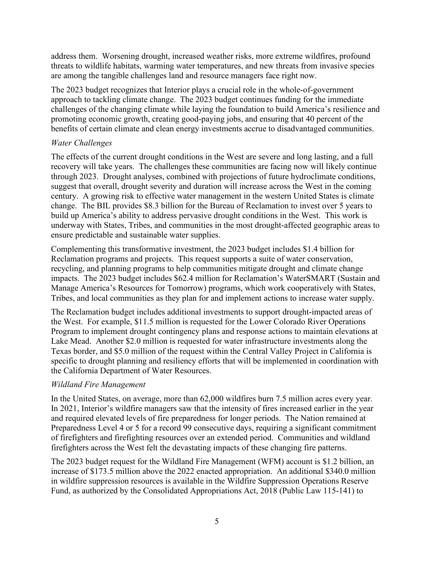address them. Worsening drought, increased weather risks, more extreme wildfires, profound threats to wildlife habitats, warming water temperatures, and new threats from invasive species are among the tangible challenges land and resource managers face right now.

The 2023 budget recognizes that Interior plays a crucial role in the whole-of-government approach to tackling climate change. The 2023 budget continues funding for the immediate challenges of the changing climate while laying the foundation to build America's resilience and promoting economic growth, creating good-paying jobs, and ensuring that 40 percent of the benefits of certain climate and clean energy investments accrue to disadvantaged communities.

# *Water Challenges*

The effects of the current drought conditions in the West are severe and long lasting, and a full recovery will take years. The challenges these communities are facing now will likely continue through 2023. Drought analyses, combined with projections of future hydroclimate conditions, suggest that overall, drought severity and duration will increase across the West in the coming century. A growing risk to effective water management in the western United States is climate change. The BIL provides \$8.3 billion for the Bureau of Reclamation to invest over 5 years to build up America's ability to address pervasive drought conditions in the West. This work is underway with States, Tribes, and communities in the most drought-affected geographic areas to ensure predictable and sustainable water supplies.

Complementing this transformative investment, the 2023 budget includes \$1.4 billion for Reclamation programs and projects. This request supports a suite of water conservation, recycling, and planning programs to help communities mitigate drought and climate change impacts. The 2023 budget includes \$62.4 million for Reclamation's WaterSMART (Sustain and Manage America's Resources for Tomorrow) programs, which work cooperatively with States, Tribes, and local communities as they plan for and implement actions to increase water supply.

The Reclamation budget includes additional investments to support drought-impacted areas of the West. For example, \$11.5 million is requested for the Lower Colorado River Operations Program to implement drought contingency plans and response actions to maintain elevations at Lake Mead. Another \$2.0 million is requested for water infrastructure investments along the Texas border, and \$5.0 million of the request within the Central Valley Project in California is specific to drought planning and resiliency efforts that will be implemented in coordination with the California Department of Water Resources.

# *Wildland Fire Management*

In the United States, on average, more than 62,000 wildfires burn 7.5 million acres every year. In 2021, Interior's wildfire managers saw that the intensity of fires increased earlier in the year and required elevated levels of fire preparedness for longer periods. The Nation remained at Preparedness Level 4 or 5 for a record 99 consecutive days, requiring a significant commitment of firefighters and firefighting resources over an extended period. Communities and wildland firefighters across the West felt the devastating impacts of these changing fire patterns.

The 2023 budget request for the Wildland Fire Management (WFM) account is \$1.2 billion, an increase of \$173.5 million above the 2022 enacted appropriation. An additional \$340.0 million in wildfire suppression resources is available in the Wildfire Suppression Operations Reserve Fund, as authorized by the Consolidated Appropriations Act, 2018 (Public Law 115-141) to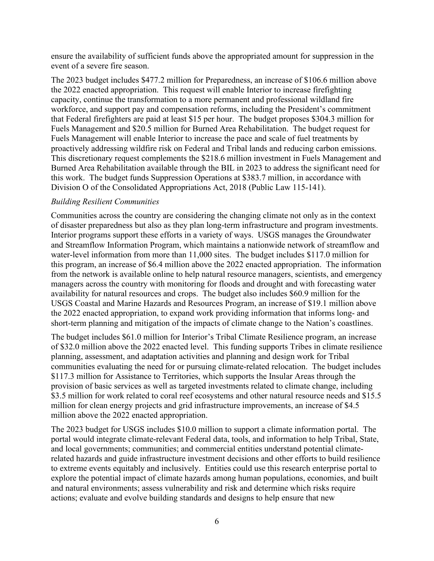ensure the availability of sufficient funds above the appropriated amount for suppression in the event of a severe fire season.

The 2023 budget includes \$477.2 million for Preparedness, an increase of \$106.6 million above the 2022 enacted appropriation. This request will enable Interior to increase firefighting capacity, continue the transformation to a more permanent and professional wildland fire workforce, and support pay and compensation reforms, including the President's commitment that Federal firefighters are paid at least \$15 per hour. The budget proposes \$304.3 million for Fuels Management and \$20.5 million for Burned Area Rehabilitation. The budget request for Fuels Management will enable Interior to increase the pace and scale of fuel treatments by proactively addressing wildfire risk on Federal and Tribal lands and reducing carbon emissions. This discretionary request complements the \$218.6 million investment in Fuels Management and Burned Area Rehabilitation available through the BIL in 2023 to address the significant need for this work. The budget funds Suppression Operations at \$383.7 million, in accordance with Division O of the Consolidated Appropriations Act, 2018 (Public Law 115-141).

#### *Building Resilient Communities*

Communities across the country are considering the changing climate not only as in the context of disaster preparedness but also as they plan long-term infrastructure and program investments. Interior programs support these efforts in a variety of ways. USGS manages the Groundwater and Streamflow Information Program, which maintains a nationwide network of streamflow and water-level information from more than 11,000 sites. The budget includes \$117.0 million for this program, an increase of \$6.4 million above the 2022 enacted appropriation. The information from the network is available online to help natural resource managers, scientists, and emergency managers across the country with monitoring for floods and drought and with forecasting water availability for natural resources and crops. The budget also includes \$60.9 million for the USGS Coastal and Marine Hazards and Resources Program, an increase of \$19.1 million above the 2022 enacted appropriation, to expand work providing information that informs long- and short-term planning and mitigation of the impacts of climate change to the Nation's coastlines.

The budget includes \$61.0 million for Interior's Tribal Climate Resilience program, an increase of \$32.0 million above the 2022 enacted level. This funding supports Tribes in climate resilience planning, assessment, and adaptation activities and planning and design work for Tribal communities evaluating the need for or pursuing climate-related relocation. The budget includes \$117.3 million for Assistance to Territories, which supports the Insular Areas through the provision of basic services as well as targeted investments related to climate change, including \$3.5 million for work related to coral reef ecosystems and other natural resource needs and \$15.5 million for clean energy projects and grid infrastructure improvements, an increase of \$4.5 million above the 2022 enacted appropriation.

The 2023 budget for USGS includes \$10.0 million to support a climate information portal. The portal would integrate climate-relevant Federal data, tools, and information to help Tribal, State, and local governments; communities; and commercial entities understand potential climaterelated hazards and guide infrastructure investment decisions and other efforts to build resilience to extreme events equitably and inclusively. Entities could use this research enterprise portal to explore the potential impact of climate hazards among human populations, economies, and built and natural environments; assess vulnerability and risk and determine which risks require actions; evaluate and evolve building standards and designs to help ensure that new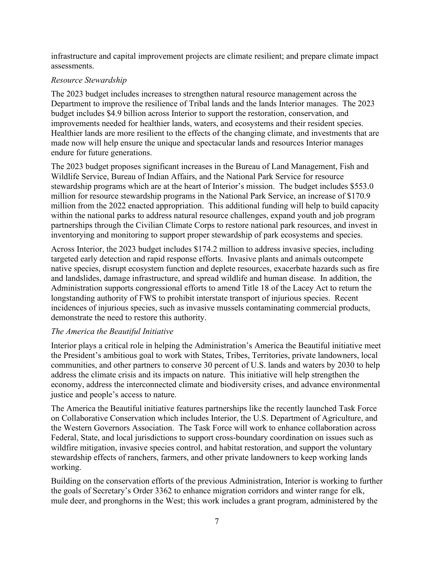infrastructure and capital improvement projects are climate resilient; and prepare climate impact assessments.

# *Resource Stewardship*

The 2023 budget includes increases to strengthen natural resource management across the Department to improve the resilience of Tribal lands and the lands Interior manages. The 2023 budget includes \$4.9 billion across Interior to support the restoration, conservation, and improvements needed for healthier lands, waters, and ecosystems and their resident species. Healthier lands are more resilient to the effects of the changing climate, and investments that are made now will help ensure the unique and spectacular lands and resources Interior manages endure for future generations.

The 2023 budget proposes significant increases in the Bureau of Land Management, Fish and Wildlife Service, Bureau of Indian Affairs, and the National Park Service for resource stewardship programs which are at the heart of Interior's mission. The budget includes \$553.0 million for resource stewardship programs in the National Park Service, an increase of \$170.9 million from the 2022 enacted appropriation. This additional funding will help to build capacity within the national parks to address natural resource challenges, expand youth and job program partnerships through the Civilian Climate Corps to restore national park resources, and invest in inventorying and monitoring to support proper stewardship of park ecosystems and species.

Across Interior, the 2023 budget includes \$174.2 million to address invasive species, including targeted early detection and rapid response efforts. Invasive plants and animals outcompete native species, disrupt ecosystem function and deplete resources, exacerbate hazards such as fire and landslides, damage infrastructure, and spread wildlife and human disease. In addition, the Administration supports congressional efforts to amend Title 18 of the Lacey Act to return the longstanding authority of FWS to prohibit interstate transport of injurious species. Recent incidences of injurious species, such as invasive mussels contaminating commercial products, demonstrate the need to restore this authority.

# *The America the Beautiful Initiative*

Interior plays a critical role in helping the Administration's America the Beautiful initiative meet the President's ambitious goal to work with States, Tribes, Territories, private landowners, local communities, and other partners to conserve 30 percent of U.S. lands and waters by 2030 to help address the climate crisis and its impacts on nature. This initiative will help strengthen the economy, address the interconnected climate and biodiversity crises, and advance environmental justice and people's access to nature.

The America the Beautiful initiative features partnerships like the recently launched Task Force on Collaborative Conservation which includes Interior, the U.S. Department of Agriculture, and the Western Governors Association. The Task Force will work to enhance collaboration across Federal, State, and local jurisdictions to support cross-boundary coordination on issues such as wildfire mitigation, invasive species control, and habitat restoration, and support the voluntary stewardship effects of ranchers, farmers, and other private landowners to keep working lands working.

Building on the conservation efforts of the previous Administration, Interior is working to further the goals of Secretary's Order 3362 to enhance migration corridors and winter range for elk, mule deer, and pronghorns in the West; this work includes a grant program, administered by the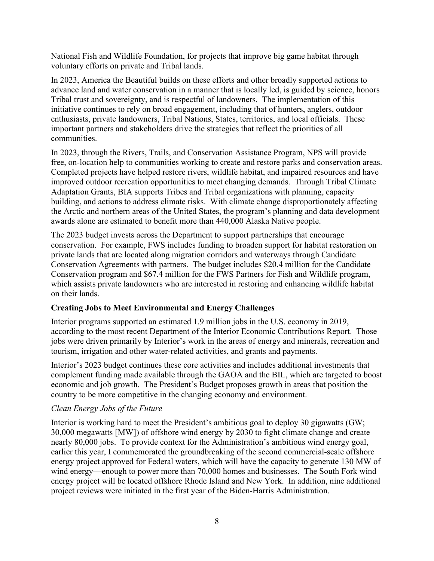National Fish and Wildlife Foundation, for projects that improve big game habitat through voluntary efforts on private and Tribal lands.

In 2023, America the Beautiful builds on these efforts and other broadly supported actions to advance land and water conservation in a manner that is locally led, is guided by science, honors Tribal trust and sovereignty, and is respectful of landowners. The implementation of this initiative continues to rely on broad engagement, including that of hunters, anglers, outdoor enthusiasts, private landowners, Tribal Nations, States, territories, and local officials. These important partners and stakeholders drive the strategies that reflect the priorities of all communities.

In 2023, through the Rivers, Trails, and Conservation Assistance Program, NPS will provide free, on-location help to communities working to create and restore parks and conservation areas. Completed projects have helped restore rivers, wildlife habitat, and impaired resources and have improved outdoor recreation opportunities to meet changing demands. Through Tribal Climate Adaptation Grants, BIA supports Tribes and Tribal organizations with planning, capacity building, and actions to address climate risks. With climate change disproportionately affecting the Arctic and northern areas of the United States, the program's planning and data development awards alone are estimated to benefit more than 440,000 Alaska Native people.

The 2023 budget invests across the Department to support partnerships that encourage conservation. For example, FWS includes funding to broaden support for habitat restoration on private lands that are located along migration corridors and waterways through Candidate Conservation Agreements with partners. The budget includes \$20.4 million for the Candidate Conservation program and \$67.4 million for the FWS Partners for Fish and Wildlife program, which assists private landowners who are interested in restoring and enhancing wildlife habitat on their lands.

# **Creating Jobs to Meet Environmental and Energy Challenges**

Interior programs supported an estimated 1.9 million jobs in the U.S. economy in 2019, according to the most recent Department of the Interior Economic Contributions Report. Those jobs were driven primarily by Interior's work in the areas of energy and minerals, recreation and tourism, irrigation and other water-related activities, and grants and payments.

Interior's 2023 budget continues these core activities and includes additional investments that complement funding made available through the GAOA and the BIL, which are targeted to boost economic and job growth. The President's Budget proposes growth in areas that position the country to be more competitive in the changing economy and environment.

# *Clean Energy Jobs of the Future*

Interior is working hard to meet the President's ambitious goal to deploy 30 gigawatts (GW; 30,000 megawatts [MW]) of offshore wind energy by 2030 to fight climate change and create nearly 80,000 jobs. To provide context for the Administration's ambitious wind energy goal, earlier this year, I commemorated the groundbreaking of the second commercial-scale offshore energy project approved for Federal waters, which will have the capacity to generate 130 MW of wind energy—enough to power more than 70,000 homes and businesses. The South Fork wind energy project will be located offshore Rhode Island and New York. In addition, nine additional project reviews were initiated in the first year of the Biden-Harris Administration.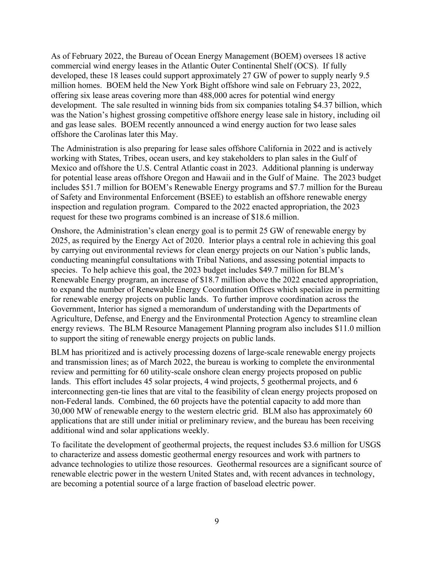As of February 2022, the Bureau of Ocean Energy Management (BOEM) oversees 18 active commercial wind energy leases in the Atlantic Outer Continental Shelf (OCS). If fully developed, these 18 leases could support approximately 27 GW of power to supply nearly 9.5 million homes. BOEM held the New York Bight offshore wind sale on February 23, 2022, offering six lease areas covering more than 488,000 acres for potential wind energy development. The sale resulted in winning bids from six companies totaling \$4.37 billion, which was the Nation's highest grossing competitive offshore energy lease sale in history, including oil and gas lease sales. BOEM recently announced a wind energy auction for two lease sales offshore the Carolinas later this May.

The Administration is also preparing for lease sales offshore California in 2022 and is actively working with States, Tribes, ocean users, and key stakeholders to plan sales in the Gulf of Mexico and offshore the U.S. Central Atlantic coast in 2023. Additional planning is underway for potential lease areas offshore Oregon and Hawaii and in the Gulf of Maine. The 2023 budget includes \$51.7 million for BOEM's Renewable Energy programs and \$7.7 million for the Bureau of Safety and Environmental Enforcement (BSEE) to establish an offshore renewable energy inspection and regulation program. Compared to the 2022 enacted appropriation, the 2023 request for these two programs combined is an increase of \$18.6 million.

Onshore, the Administration's clean energy goal is to permit 25 GW of renewable energy by 2025, as required by the Energy Act of 2020. Interior plays a central role in achieving this goal by carrying out environmental reviews for clean energy projects on our Nation's public lands, conducting meaningful consultations with Tribal Nations, and assessing potential impacts to species. To help achieve this goal, the 2023 budget includes \$49.7 million for BLM's Renewable Energy program, an increase of \$18.7 million above the 2022 enacted appropriation, to expand the number of Renewable Energy Coordination Offices which specialize in permitting for renewable energy projects on public lands. To further improve coordination across the Government, Interior has signed a memorandum of understanding with the Departments of Agriculture, Defense, and Energy and the Environmental Protection Agency to streamline clean energy reviews. The BLM Resource Management Planning program also includes \$11.0 million to support the siting of renewable energy projects on public lands.

BLM has prioritized and is actively processing dozens of large-scale renewable energy projects and transmission lines; as of March 2022, the bureau is working to complete the environmental review and permitting for 60 utility-scale onshore clean energy projects proposed on public lands. This effort includes 45 solar projects, 4 wind projects, 5 geothermal projects, and 6 interconnecting gen-tie lines that are vital to the feasibility of clean energy projects proposed on non-Federal lands. Combined, the 60 projects have the potential capacity to add more than 30,000 MW of renewable energy to the western electric grid. BLM also has approximately 60 applications that are still under initial or preliminary review, and the bureau has been receiving additional wind and solar applications weekly.

To facilitate the development of geothermal projects, the request includes \$3.6 million for USGS to characterize and assess domestic geothermal energy resources and work with partners to advance technologies to utilize those resources. Geothermal resources are a significant source of renewable electric power in the western United States and, with recent advances in technology, are becoming a potential source of a large fraction of baseload electric power.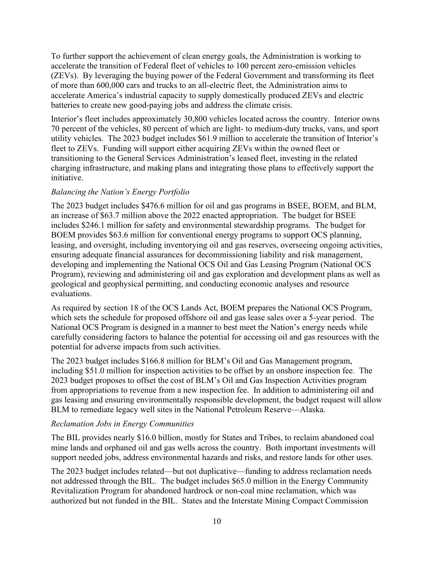To further support the achievement of clean energy goals, the Administration is working to accelerate the transition of Federal fleet of vehicles to 100 percent zero-emission vehicles (ZEVs). By leveraging the buying power of the Federal Government and transforming its fleet of more than 600,000 cars and trucks to an all-electric fleet, the Administration aims to accelerate America's industrial capacity to supply domestically produced ZEVs and electric batteries to create new good-paying jobs and address the climate crisis.

Interior's fleet includes approximately 30,800 vehicles located across the country. Interior owns 70 percent of the vehicles, 80 percent of which are light- to medium-duty trucks, vans, and sport utility vehicles. The 2023 budget includes \$61.9 million to accelerate the transition of Interior's fleet to ZEVs. Funding will support either acquiring ZEVs within the owned fleet or transitioning to the General Services Administration's leased fleet, investing in the related charging infrastructure, and making plans and integrating those plans to effectively support the initiative.

# *Balancing the Nation's Energy Portfolio*

The 2023 budget includes \$476.6 million for oil and gas programs in BSEE, BOEM, and BLM, an increase of \$63.7 million above the 2022 enacted appropriation. The budget for BSEE includes \$246.1 million for safety and environmental stewardship programs. The budget for BOEM provides \$63.6 million for conventional energy programs to support OCS planning, leasing, and oversight, including inventorying oil and gas reserves, overseeing ongoing activities, ensuring adequate financial assurances for decommissioning liability and risk management, developing and implementing the National OCS Oil and Gas Leasing Program (National OCS Program), reviewing and administering oil and gas exploration and development plans as well as geological and geophysical permitting, and conducting economic analyses and resource evaluations.

As required by section 18 of the OCS Lands Act, BOEM prepares the National OCS Program, which sets the schedule for proposed offshore oil and gas lease sales over a 5-year period. The National OCS Program is designed in a manner to best meet the Nation's energy needs while carefully considering factors to balance the potential for accessing oil and gas resources with the potential for adverse impacts from such activities.

The 2023 budget includes \$166.8 million for BLM's Oil and Gas Management program, including \$51.0 million for inspection activities to be offset by an onshore inspection fee. The 2023 budget proposes to offset the cost of BLM's Oil and Gas Inspection Activities program from appropriations to revenue from a new inspection fee. In addition to administering oil and gas leasing and ensuring environmentally responsible development, the budget request will allow BLM to remediate legacy well sites in the National Petroleum Reserve—Alaska.

# *Reclamation Jobs in Energy Communities*

The BIL provides nearly \$16.0 billion, mostly for States and Tribes, to reclaim abandoned coal mine lands and orphaned oil and gas wells across the country. Both important investments will support needed jobs, address environmental hazards and risks, and restore lands for other uses.

The 2023 budget includes related—but not duplicative—funding to address reclamation needs not addressed through the BIL. The budget includes \$65.0 million in the Energy Community Revitalization Program for abandoned hardrock or non-coal mine reclamation, which was authorized but not funded in the BIL. States and the Interstate Mining Compact Commission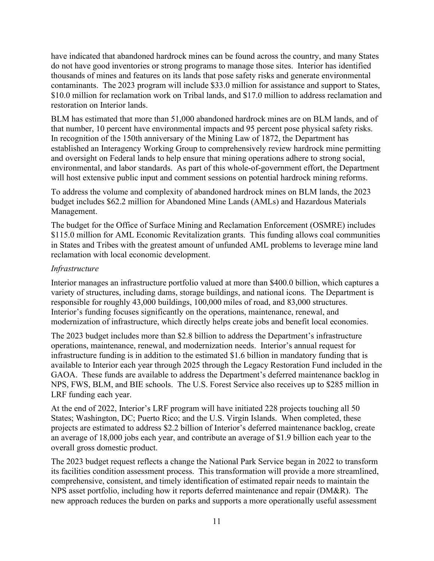have indicated that abandoned hardrock mines can be found across the country, and many States do not have good inventories or strong programs to manage those sites. Interior has identified thousands of mines and features on its lands that pose safety risks and generate environmental contaminants. The 2023 program will include \$33.0 million for assistance and support to States, \$10.0 million for reclamation work on Tribal lands, and \$17.0 million to address reclamation and restoration on Interior lands.

BLM has estimated that more than 51,000 abandoned hardrock mines are on BLM lands, and of that number, 10 percent have environmental impacts and 95 percent pose physical safety risks. In recognition of the 150th anniversary of the Mining Law of 1872, the Department has established an Interagency Working Group to comprehensively review hardrock mine permitting and oversight on Federal lands to help ensure that mining operations adhere to strong social, environmental, and labor standards. As part of this whole-of-government effort, the Department will host extensive public input and comment sessions on potential hardrock mining reforms.

To address the volume and complexity of abandoned hardrock mines on BLM lands, the 2023 budget includes \$62.2 million for Abandoned Mine Lands (AMLs) and Hazardous Materials Management.

The budget for the Office of Surface Mining and Reclamation Enforcement (OSMRE) includes \$115.0 million for AML Economic Revitalization grants. This funding allows coal communities in States and Tribes with the greatest amount of unfunded AML problems to leverage mine land reclamation with local economic development.

# *Infrastructure*

Interior manages an infrastructure portfolio valued at more than \$400.0 billion, which captures a variety of structures, including dams, storage buildings, and national icons. The Department is responsible for roughly 43,000 buildings, 100,000 miles of road, and 83,000 structures. Interior's funding focuses significantly on the operations, maintenance, renewal, and modernization of infrastructure, which directly helps create jobs and benefit local economies.

The 2023 budget includes more than \$2.8 billion to address the Department's infrastructure operations, maintenance, renewal, and modernization needs. Interior's annual request for infrastructure funding is in addition to the estimated \$1.6 billion in mandatory funding that is available to Interior each year through 2025 through the Legacy Restoration Fund included in the GAOA. These funds are available to address the Department's deferred maintenance backlog in NPS, FWS, BLM, and BIE schools. The U.S. Forest Service also receives up to \$285 million in LRF funding each year.

At the end of 2022, Interior's LRF program will have initiated 228 projects touching all 50 States; Washington, DC; Puerto Rico; and the U.S. Virgin Islands. When completed, these projects are estimated to address \$2.2 billion of Interior's deferred maintenance backlog, create an average of 18,000 jobs each year, and contribute an average of \$1.9 billion each year to the overall gross domestic product.

The 2023 budget request reflects a change the National Park Service began in 2022 to transform its facilities condition assessment process. This transformation will provide a more streamlined, comprehensive, consistent, and timely identification of estimated repair needs to maintain the NPS asset portfolio, including how it reports deferred maintenance and repair (DM&R). The new approach reduces the burden on parks and supports a more operationally useful assessment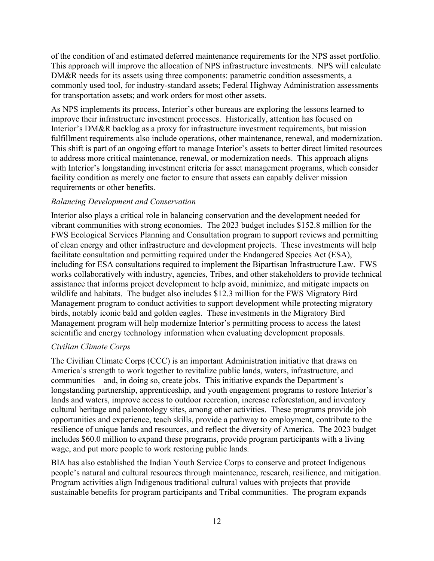of the condition of and estimated deferred maintenance requirements for the NPS asset portfolio. This approach will improve the allocation of NPS infrastructure investments. NPS will calculate DM&R needs for its assets using three components: parametric condition assessments, a commonly used tool, for industry-standard assets; Federal Highway Administration assessments for transportation assets; and work orders for most other assets.

As NPS implements its process, Interior's other bureaus are exploring the lessons learned to improve their infrastructure investment processes. Historically, attention has focused on Interior's DM&R backlog as a proxy for infrastructure investment requirements, but mission fulfillment requirements also include operations, other maintenance, renewal, and modernization. This shift is part of an ongoing effort to manage Interior's assets to better direct limited resources to address more critical maintenance, renewal, or modernization needs. This approach aligns with Interior's longstanding investment criteria for asset management programs, which consider facility condition as merely one factor to ensure that assets can capably deliver mission requirements or other benefits.

#### *Balancing Development and Conservation*

Interior also plays a critical role in balancing conservation and the development needed for vibrant communities with strong economies. The 2023 budget includes \$152.8 million for the FWS Ecological Services Planning and Consultation program to support reviews and permitting of clean energy and other infrastructure and development projects. These investments will help facilitate consultation and permitting required under the Endangered Species Act (ESA), including for ESA consultations required to implement the Bipartisan Infrastructure Law. FWS works collaboratively with industry, agencies, Tribes, and other stakeholders to provide technical assistance that informs project development to help avoid, minimize, and mitigate impacts on wildlife and habitats. The budget also includes \$12.3 million for the FWS Migratory Bird Management program to conduct activities to support development while protecting migratory birds, notably iconic bald and golden eagles. These investments in the Migratory Bird Management program will help modernize Interior's permitting process to access the latest scientific and energy technology information when evaluating development proposals.

# *Civilian Climate Corps*

The Civilian Climate Corps (CCC) is an important Administration initiative that draws on America's strength to work together to revitalize public lands, waters, infrastructure, and communities—and, in doing so, create jobs. This initiative expands the Department's longstanding partnership, apprenticeship, and youth engagement programs to restore Interior's lands and waters, improve access to outdoor recreation, increase reforestation, and inventory cultural heritage and paleontology sites, among other activities. These programs provide job opportunities and experience, teach skills, provide a pathway to employment, contribute to the resilience of unique lands and resources, and reflect the diversity of America. The 2023 budget includes \$60.0 million to expand these programs, provide program participants with a living wage, and put more people to work restoring public lands.

BIA has also established the Indian Youth Service Corps to conserve and protect Indigenous people's natural and cultural resources through maintenance, research, resilience, and mitigation. Program activities align Indigenous traditional cultural values with projects that provide sustainable benefits for program participants and Tribal communities. The program expands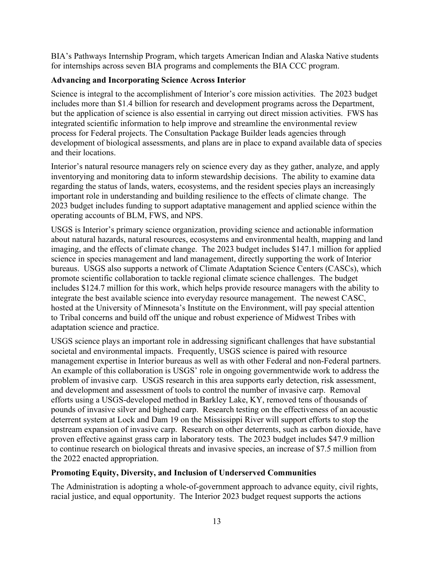BIA's Pathways Internship Program, which targets American Indian and Alaska Native students for internships across seven BIA programs and complements the BIA CCC program.

# **Advancing and Incorporating Science Across Interior**

Science is integral to the accomplishment of Interior's core mission activities. The 2023 budget includes more than \$1.4 billion for research and development programs across the Department, but the application of science is also essential in carrying out direct mission activities. FWS has integrated scientific information to help improve and streamline the environmental review process for Federal projects. The Consultation Package Builder leads agencies through development of biological assessments, and plans are in place to expand available data of species and their locations.

Interior's natural resource managers rely on science every day as they gather, analyze, and apply inventorying and monitoring data to inform stewardship decisions. The ability to examine data regarding the status of lands, waters, ecosystems, and the resident species plays an increasingly important role in understanding and building resilience to the effects of climate change. The 2023 budget includes funding to support adaptative management and applied science within the operating accounts of BLM, FWS, and NPS.

USGS is Interior's primary science organization, providing science and actionable information about natural hazards, natural resources, ecosystems and environmental health, mapping and land imaging, and the effects of climate change. The 2023 budget includes \$147.1 million for applied science in species management and land management, directly supporting the work of Interior bureaus. USGS also supports a network of Climate Adaptation Science Centers (CASCs), which promote scientific collaboration to tackle regional climate science challenges. The budget includes \$124.7 million for this work, which helps provide resource managers with the ability to integrate the best available science into everyday resource management. The newest CASC, hosted at the University of Minnesota's Institute on the Environment, will pay special attention to Tribal concerns and build off the unique and robust experience of Midwest Tribes with adaptation science and practice.

USGS science plays an important role in addressing significant challenges that have substantial societal and environmental impacts. Frequently, USGS science is paired with resource management expertise in Interior bureaus as well as with other Federal and non-Federal partners. An example of this collaboration is USGS' role in ongoing governmentwide work to address the problem of invasive carp. USGS research in this area supports early detection, risk assessment, and development and assessment of tools to control the number of invasive carp. Removal efforts using a USGS-developed method in Barkley Lake, KY, removed tens of thousands of pounds of invasive silver and bighead carp. Research testing on the effectiveness of an acoustic deterrent system at Lock and Dam 19 on the Mississippi River will support efforts to stop the upstream expansion of invasive carp. Research on other deterrents, such as carbon dioxide, have proven effective against grass carp in laboratory tests. The 2023 budget includes \$47.9 million to continue research on biological threats and invasive species, an increase of \$7.5 million from the 2022 enacted appropriation.

# **Promoting Equity, Diversity, and Inclusion of Underserved Communities**

The Administration is adopting a whole-of-government approach to advance equity, civil rights, racial justice, and equal opportunity. The Interior 2023 budget request supports the actions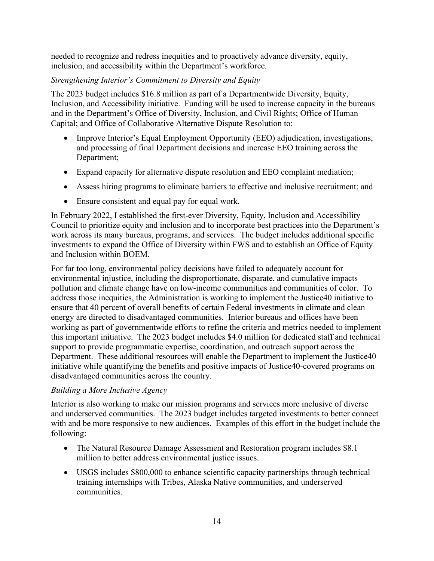needed to recognize and redress inequities and to proactively advance diversity, equity, inclusion, and accessibility within the Department's workforce.

# *Strengthening Interior's Commitment to Diversity and Equity*

The 2023 budget includes \$16.8 million as part of a Departmentwide Diversity, Equity, Inclusion, and Accessibility initiative. Funding will be used to increase capacity in the bureaus and in the Department's Office of Diversity, Inclusion, and Civil Rights; Office of Human Capital; and Office of Collaborative Alternative Dispute Resolution to:

- Improve Interior's Equal Employment Opportunity (EEO) adjudication, investigations, and processing of final Department decisions and increase EEO training across the Department;
- Expand capacity for alternative dispute resolution and EEO complaint mediation;
- Assess hiring programs to eliminate barriers to effective and inclusive recruitment; and
- Ensure consistent and equal pay for equal work.

In February 2022, I established the first-ever Diversity, Equity, Inclusion and Accessibility Council to prioritize equity and inclusion and to incorporate best practices into the Department's work across its many bureaus, programs, and services. The budget includes additional specific investments to expand the Office of Diversity within FWS and to establish an Office of Equity and Inclusion within BOEM.

For far too long, environmental policy decisions have failed to adequately account for environmental injustice, including the disproportionate, disparate, and cumulative impacts pollution and climate change have on low-income communities and communities of color. To address those inequities, the Administration is working to implement the Justice40 initiative to ensure that 40 percent of overall benefits of certain Federal investments in climate and clean energy are directed to disadvantaged communities. Interior bureaus and offices have been working as part of governmentwide efforts to refine the criteria and metrics needed to implement this important initiative. The 2023 budget includes \$4.0 million for dedicated staff and technical support to provide programmatic expertise, coordination, and outreach support across the Department. These additional resources will enable the Department to implement the Justice40 initiative while quantifying the benefits and positive impacts of Justice40-covered programs on disadvantaged communities across the country.

# *Building a More Inclusive Agency*

Interior is also working to make our mission programs and services more inclusive of diverse and underserved communities. The 2023 budget includes targeted investments to better connect with and be more responsive to new audiences. Examples of this effort in the budget include the following:

- The Natural Resource Damage Assessment and Restoration program includes \$8.1 million to better address environmental justice issues.
- USGS includes \$800,000 to enhance scientific capacity partnerships through technical training internships with Tribes, Alaska Native communities, and underserved communities.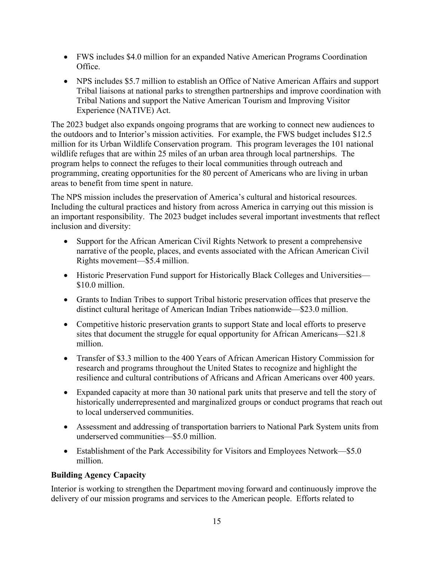- FWS includes \$4.0 million for an expanded Native American Programs Coordination Office.
- NPS includes \$5.7 million to establish an Office of Native American Affairs and support Tribal liaisons at national parks to strengthen partnerships and improve coordination with Tribal Nations and support the Native American Tourism and Improving Visitor Experience (NATIVE) Act.

The 2023 budget also expands ongoing programs that are working to connect new audiences to the outdoors and to Interior's mission activities. For example, the FWS budget includes \$12.5 million for its Urban Wildlife Conservation program. This program leverages the 101 national wildlife refuges that are within 25 miles of an urban area through local partnerships. The program helps to connect the refuges to their local communities through outreach and programming, creating opportunities for the 80 percent of Americans who are living in urban areas to benefit from time spent in nature.

The NPS mission includes the preservation of America's cultural and historical resources. Including the cultural practices and history from across America in carrying out this mission is an important responsibility. The 2023 budget includes several important investments that reflect inclusion and diversity:

- Support for the African American Civil Rights Network to present a comprehensive narrative of the people, places, and events associated with the African American Civil Rights movement—\$5.4 million.
- Historic Preservation Fund support for Historically Black Colleges and Universities— \$10.0 million.
- Grants to Indian Tribes to support Tribal historic preservation offices that preserve the distinct cultural heritage of American Indian Tribes nationwide—\$23.0 million.
- Competitive historic preservation grants to support State and local efforts to preserve sites that document the struggle for equal opportunity for African Americans—\$21.8 million.
- Transfer of \$3.3 million to the 400 Years of African American History Commission for research and programs throughout the United States to recognize and highlight the resilience and cultural contributions of Africans and African Americans over 400 years.
- Expanded capacity at more than 30 national park units that preserve and tell the story of historically underrepresented and marginalized groups or conduct programs that reach out to local underserved communities.
- Assessment and addressing of transportation barriers to National Park System units from underserved communities—\$5.0 million.
- Establishment of the Park Accessibility for Visitors and Employees Network—\$5.0 million.

# **Building Agency Capacity**

Interior is working to strengthen the Department moving forward and continuously improve the delivery of our mission programs and services to the American people. Efforts related to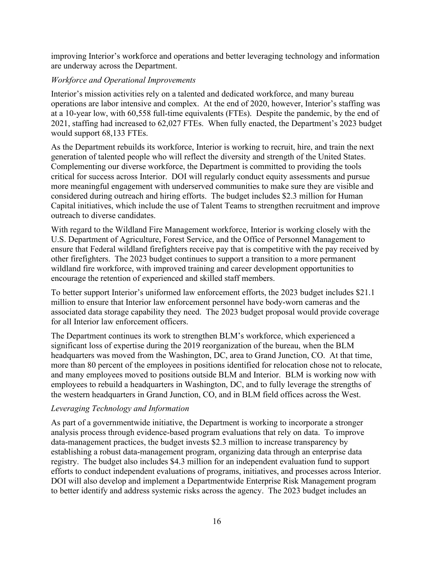improving Interior's workforce and operations and better leveraging technology and information are underway across the Department.

#### *Workforce and Operational Improvements*

Interior's mission activities rely on a talented and dedicated workforce, and many bureau operations are labor intensive and complex. At the end of 2020, however, Interior's staffing was at a 10-year low, with 60,558 full-time equivalents (FTEs). Despite the pandemic, by the end of 2021, staffing had increased to 62,027 FTEs. When fully enacted, the Department's 2023 budget would support 68,133 FTEs.

As the Department rebuilds its workforce, Interior is working to recruit, hire, and train the next generation of talented people who will reflect the diversity and strength of the United States. Complementing our diverse workforce, the Department is committed to providing the tools critical for success across Interior. DOI will regularly conduct equity assessments and pursue more meaningful engagement with underserved communities to make sure they are visible and considered during outreach and hiring efforts. The budget includes \$2.3 million for Human Capital initiatives, which include the use of Talent Teams to strengthen recruitment and improve outreach to diverse candidates.

With regard to the Wildland Fire Management workforce, Interior is working closely with the U.S. Department of Agriculture, Forest Service, and the Office of Personnel Management to ensure that Federal wildland firefighters receive pay that is competitive with the pay received by other firefighters. The 2023 budget continues to support a transition to a more permanent wildland fire workforce, with improved training and career development opportunities to encourage the retention of experienced and skilled staff members.

To better support Interior's uniformed law enforcement efforts, the 2023 budget includes \$21.1 million to ensure that Interior law enforcement personnel have body-worn cameras and the associated data storage capability they need. The 2023 budget proposal would provide coverage for all Interior law enforcement officers.

The Department continues its work to strengthen BLM's workforce, which experienced a significant loss of expertise during the 2019 reorganization of the bureau, when the BLM headquarters was moved from the Washington, DC, area to Grand Junction, CO. At that time, more than 80 percent of the employees in positions identified for relocation chose not to relocate, and many employees moved to positions outside BLM and Interior. BLM is working now with employees to rebuild a headquarters in Washington, DC, and to fully leverage the strengths of the western headquarters in Grand Junction, CO, and in BLM field offices across the West.

#### *Leveraging Technology and Information*

As part of a governmentwide initiative, the Department is working to incorporate a stronger analysis process through evidence-based program evaluations that rely on data. To improve data-management practices, the budget invests \$2.3 million to increase transparency by establishing a robust data-management program, organizing data through an enterprise data registry. The budget also includes \$4.3 million for an independent evaluation fund to support efforts to conduct independent evaluations of programs, initiatives, and processes across Interior. DOI will also develop and implement a Departmentwide Enterprise Risk Management program to better identify and address systemic risks across the agency. The 2023 budget includes an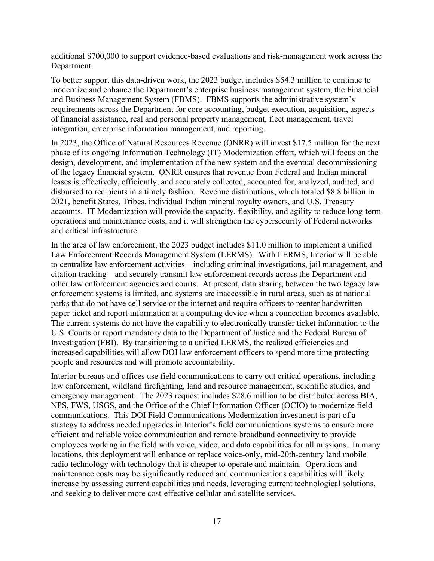additional \$700,000 to support evidence-based evaluations and risk-management work across the Department.

To better support this data-driven work, the 2023 budget includes \$54.3 million to continue to modernize and enhance the Department's enterprise business management system, the Financial and Business Management System (FBMS). FBMS supports the administrative system's requirements across the Department for core accounting, budget execution, acquisition, aspects of financial assistance, real and personal property management, fleet management, travel integration, enterprise information management, and reporting.

In 2023, the Office of Natural Resources Revenue (ONRR) will invest \$17.5 million for the next phase of its ongoing Information Technology (IT) Modernization effort, which will focus on the design, development, and implementation of the new system and the eventual decommissioning of the legacy financial system. ONRR ensures that revenue from Federal and Indian mineral leases is effectively, efficiently, and accurately collected, accounted for, analyzed, audited, and disbursed to recipients in a timely fashion. Revenue distributions, which totaled \$8.8 billion in 2021, benefit States, Tribes, individual Indian mineral royalty owners, and U.S. Treasury accounts. IT Modernization will provide the capacity, flexibility, and agility to reduce long-term operations and maintenance costs, and it will strengthen the cybersecurity of Federal networks and critical infrastructure.

In the area of law enforcement, the 2023 budget includes \$11.0 million to implement a unified Law Enforcement Records Management System (LERMS). With LERMS, Interior will be able to centralize law enforcement activities—including criminal investigations, jail management, and citation tracking—and securely transmit law enforcement records across the Department and other law enforcement agencies and courts. At present, data sharing between the two legacy law enforcement systems is limited, and systems are inaccessible in rural areas, such as at national parks that do not have cell service or the internet and require officers to reenter handwritten paper ticket and report information at a computing device when a connection becomes available. The current systems do not have the capability to electronically transfer ticket information to the U.S. Courts or report mandatory data to the Department of Justice and the Federal Bureau of Investigation (FBI). By transitioning to a unified LERMS, the realized efficiencies and increased capabilities will allow DOI law enforcement officers to spend more time protecting people and resources and will promote accountability.

Interior bureaus and offices use field communications to carry out critical operations, including law enforcement, wildland firefighting, land and resource management, scientific studies, and emergency management. The 2023 request includes \$28.6 million to be distributed across BIA, NPS, FWS, USGS, and the Office of the Chief Information Officer (OCIO) to modernize field communications. This DOI Field Communications Modernization investment is part of a strategy to address needed upgrades in Interior's field communications systems to ensure more efficient and reliable voice communication and remote broadband connectivity to provide employees working in the field with voice, video, and data capabilities for all missions. In many locations, this deployment will enhance or replace voice-only, mid-20th-century land mobile radio technology with technology that is cheaper to operate and maintain. Operations and maintenance costs may be significantly reduced and communications capabilities will likely increase by assessing current capabilities and needs, leveraging current technological solutions, and seeking to deliver more cost-effective cellular and satellite services.